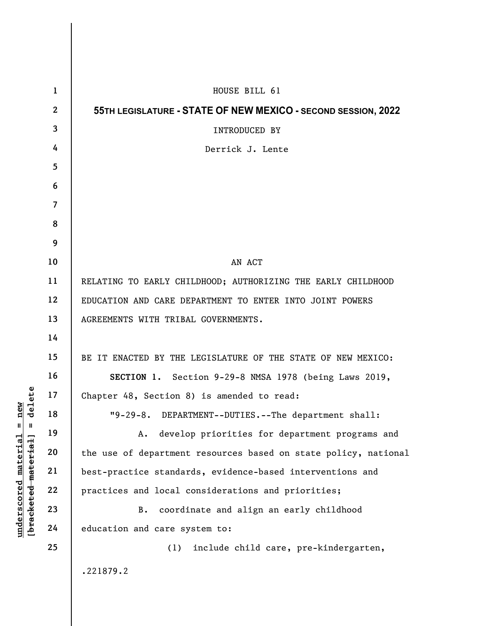|                                                                                                                   | $\mathbf{1}$   | HOUSE BILL 61                                                   |
|-------------------------------------------------------------------------------------------------------------------|----------------|-----------------------------------------------------------------|
|                                                                                                                   | $\mathbf{2}$   | 55TH LEGISLATURE - STATE OF NEW MEXICO - SECOND SESSION, 2022   |
|                                                                                                                   | 3              | INTRODUCED BY                                                   |
|                                                                                                                   | 4              | Derrick J. Lente                                                |
|                                                                                                                   | 5              |                                                                 |
|                                                                                                                   | 6              |                                                                 |
|                                                                                                                   | $\overline{7}$ |                                                                 |
|                                                                                                                   | 8              |                                                                 |
|                                                                                                                   | 9              |                                                                 |
|                                                                                                                   | 10             | AN ACT                                                          |
|                                                                                                                   | 11             | RELATING TO EARLY CHILDHOOD; AUTHORIZING THE EARLY CHILDHOOD    |
|                                                                                                                   | 12             | EDUCATION AND CARE DEPARTMENT TO ENTER INTO JOINT POWERS        |
|                                                                                                                   | 13             | AGREEMENTS WITH TRIBAL GOVERNMENTS.                             |
|                                                                                                                   | 14             |                                                                 |
|                                                                                                                   | 15             | BE IT ENACTED BY THE LEGISLATURE OF THE STATE OF NEW MEXICO:    |
|                                                                                                                   | 16             | SECTION 1. Section 9-29-8 NMSA 1978 (being Laws 2019,           |
| elete<br>new<br>᠊ᢦ<br>$\mathsf{I}$<br>$\mathbf{I}$<br>[ <del>bracketed material</del> ]<br>$underscored$ material | 17             | Chapter 48, Section 8) is amended to read:                      |
|                                                                                                                   | 18             | "9-29-8. DEPARTMENT--DUTIES.--The department shall:             |
|                                                                                                                   | 19             | develop priorities for department programs and<br>Α.            |
|                                                                                                                   | 20             | the use of department resources based on state policy, national |
|                                                                                                                   | 21             | best-practice standards, evidence-based interventions and       |
|                                                                                                                   | 22             | practices and local considerations and priorities;              |
|                                                                                                                   | 23             | coordinate and align an early childhood<br><b>B.</b>            |
|                                                                                                                   | 24             | education and care system to:                                   |
|                                                                                                                   | 25             | include child care, pre-kindergarten,<br>(1)                    |
|                                                                                                                   |                | .221879.2                                                       |
|                                                                                                                   |                |                                                                 |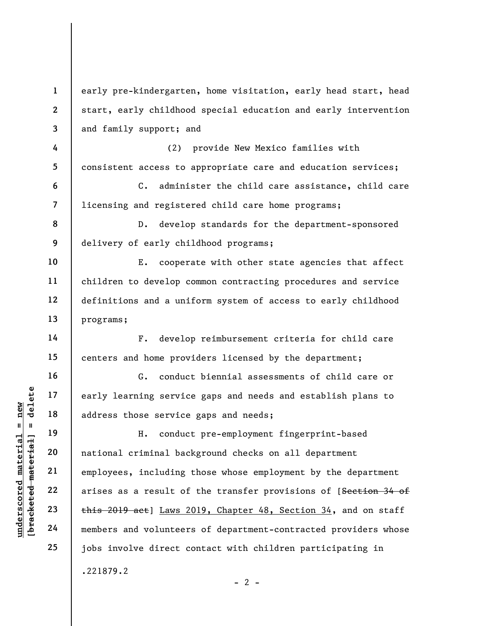underscored material = new [bracketed material] = delete 1 2 3 4 5 6 7 8 9 10 11 12 13 14 15 16 17 18 19 20 21 22 23 24 25 early pre-kindergarten, home visitation, early head start, head start, early childhood special education and early intervention and family support; and (2) provide New Mexico families with consistent access to appropriate care and education services; C. administer the child care assistance, child care licensing and registered child care home programs; D. develop standards for the department-sponsored delivery of early childhood programs; E. cooperate with other state agencies that affect children to develop common contracting procedures and service definitions and a uniform system of access to early childhood programs; F. develop reimbursement criteria for child care centers and home providers licensed by the department; G. conduct biennial assessments of child care or early learning service gaps and needs and establish plans to address those service gaps and needs; H. conduct pre-employment fingerprint-based national criminal background checks on all department employees, including those whose employment by the department arises as a result of the transfer provisions of [Section 34 of this 2019 act] Laws 2019, Chapter 48, Section 34, and on staff members and volunteers of department-contracted providers whose jobs involve direct contact with children participating in .221879.2  $- 2 -$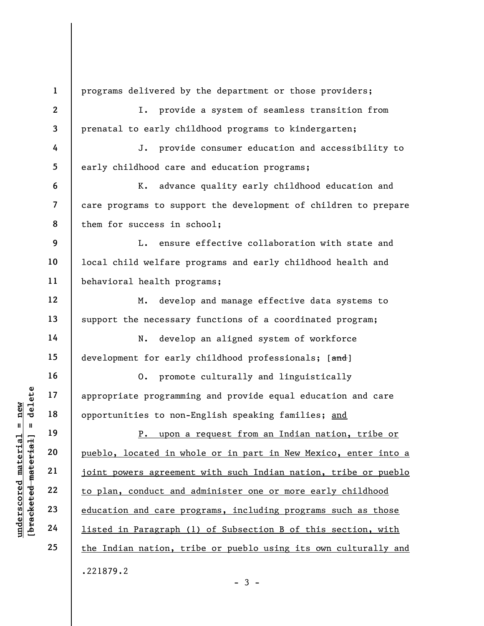understand material specifical material opportunities to non-<br>
except the 19<br>
definition of the specifical material opportunities to non-<br>
P. upon a<br>
pueblo, located in which<br>
21<br>
definition and care property<br>
23<br>
definiti 1 2 3 4 5 6 7 8 9 10 11 12 13 14 15 16 17 18 19 20 21 22 23 24 25 programs delivered by the department or those providers; I. provide a system of seamless transition from prenatal to early childhood programs to kindergarten; J. provide consumer education and accessibility to early childhood care and education programs; K. advance quality early childhood education and care programs to support the development of children to prepare them for success in school; L. ensure effective collaboration with state and local child welfare programs and early childhood health and behavioral health programs; M. develop and manage effective data systems to support the necessary functions of a coordinated program; N. develop an aligned system of workforce development for early childhood professionals; [and] O. promote culturally and linguistically appropriate programming and provide equal education and care opportunities to non-English speaking families; and P. upon a request from an Indian nation, tribe or pueblo, located in whole or in part in New Mexico, enter into a joint powers agreement with such Indian nation, tribe or pueblo to plan, conduct and administer one or more early childhood education and care programs, including programs such as those listed in Paragraph (1) of Subsection B of this section, with the Indian nation, tribe or pueblo using its own culturally and .221879.2

 $-3 -$